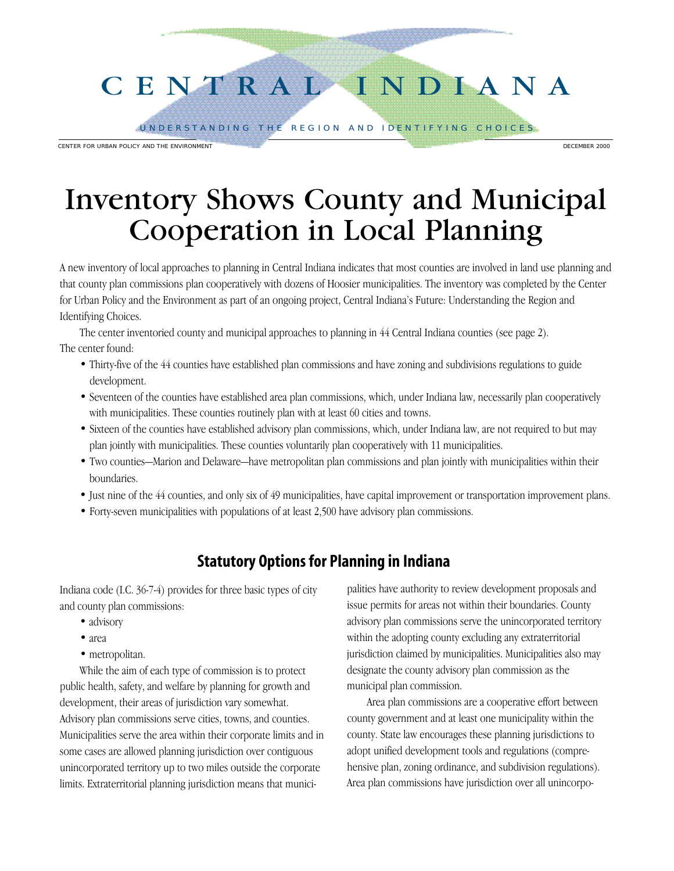# C E N T R A L I N D I A N A

UNDERSTANDING THE REGION AND IDENTIFYING CHOICES.

CENTER FOR URBAN POLICY AND THE ENVIRONMENT **CONSUMING THE ENGLAND CONSUMING THE ENGLAND OF CENTER 2000** 

# Inventory Shows County and Municipal Cooperation in Local Planning

A new inventory of local approaches to planning in Central Indiana indicates that most counties are involved in land use planning and that county plan commissions plan cooperatively with dozens of Hoosier municipalities. The inventory was completed by the Center for Urban Policy and the Environment as part of an ongoing project, Central Indiana's Future: Understanding the Region and Identifying Choices.

The center inventoried county and municipal approaches to planning in 44 Central Indiana counties (see page 2). The center found:

- Thirty-five of the 44 counties have established plan commissions and have zoning and subdivisions regulations to guide development.
- Seventeen of the counties have established area plan commissions, which, under Indiana law, necessarily plan cooperatively with municipalities. These counties routinely plan with at least 60 cities and towns.
- Sixteen of the counties have established advisory plan commissions, which, under Indiana law, are not required to but may plan jointly with municipalities. These counties voluntarily plan cooperatively with 11 municipalities.
- Two counties—Marion and Delaware—have metropolitan plan commissions and plan jointly with municipalities within their boundaries.
- Just nine of the 44 counties, and only six of 49 municipalities, have capital improvement or transportation improvement plans.
- Forty-seven municipalities with populations of at least 2,500 have advisory plan commissions.

## **Statutory Options for Planning in Indiana**

Indiana code (I.C. 36-7-4) provides for three basic types of city and county plan commissions:

- advisory
- area
- metropolitan.

While the aim of each type of commission is to protect public health, safety, and welfare by planning for growth and development, their areas of jurisdiction vary somewhat. Advisory plan commissions serve cities, towns, and counties. Municipalities serve the area within their corporate limits and in some cases are allowed planning jurisdiction over contiguous unincorporated territory up to two miles outside the corporate limits. Extraterritorial planning jurisdiction means that municipalities have authority to review development proposals and issue permits for areas not within their boundaries. County advisory plan commissions serve the unincorporated territory within the adopting county excluding any extraterritorial jurisdiction claimed by municipalities. Municipalities also may designate the county advisory plan commission as the municipal plan commission.

Area plan commissions are a cooperative effort between county government and at least one municipality within the county. State law encourages these planning jurisdictions to adopt unified development tools and regulations (comprehensive plan, zoning ordinance, and subdivision regulations). Area plan commissions have jurisdiction over all unincorpo-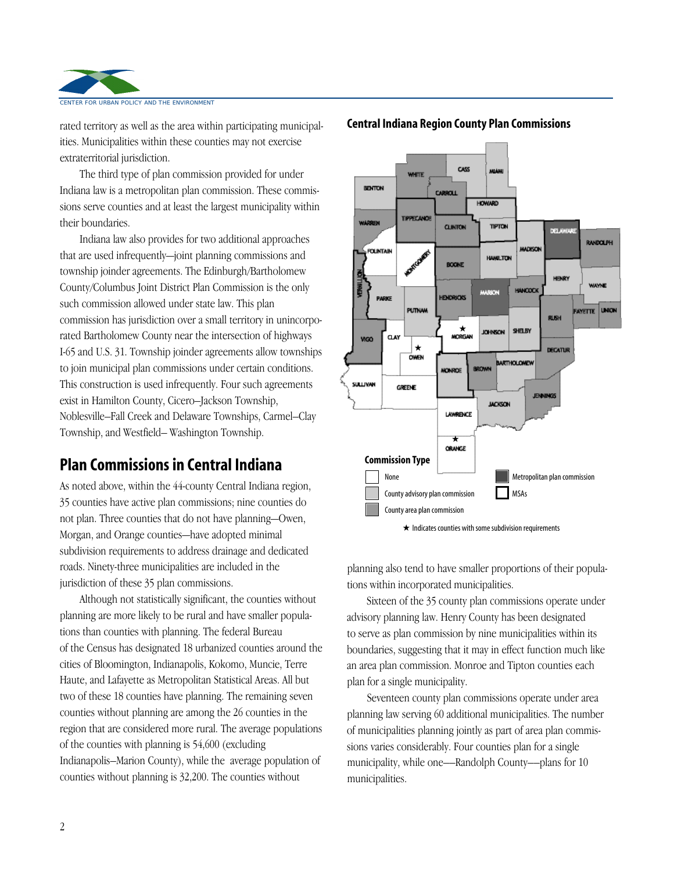

rated territory as well as the area within participating municipalities. Municipalities within these counties may not exercise extraterritorial jurisdiction.

The third type of plan commission provided for under Indiana law is a metropolitan plan commission. These commissions serve counties and at least the largest municipality within their boundaries.

Indiana law also provides for two additional approaches that are used infrequently—joint planning commissions and township joinder agreements. The Edinburgh/Bartholomew County/Columbus Joint District Plan Commission is the only such commission allowed under state law. This plan commission has jurisdiction over a small territory in unincorporated Bartholomew County near the intersection of highways I-65 and U.S. 31. Township joinder agreements allow townships to join municipal plan commissions under certain conditions. This construction is used infrequently. Four such agreements exist in Hamilton County, Cicero–Jackson Township, Noblesville–Fall Creek and Delaware Townships, Carmel–Clay Township, and Westfield– Washington Township.

### **Plan Commissions in Central Indiana**

As noted above, within the 44-county Central Indiana region, 35 counties have active plan commissions; nine counties do not plan. Three counties that do not have planning—Owen, Morgan, and Orange counties—have adopted minimal subdivision requirements to address drainage and dedicated roads. Ninety-three municipalities are included in the jurisdiction of these 35 plan commissions.

Although not statistically significant, the counties without planning are more likely to be rural and have smaller populations than counties with planning. The federal Bureau of the Census has designated 18 urbanized counties around the cities of Bloomington, Indianapolis, Kokomo, Muncie, Terre Haute, and Lafayette as Metropolitan Statistical Areas. All but two of these 18 counties have planning. The remaining seven counties without planning are among the 26 counties in the region that are considered more rural. The average populations of the counties with planning is 54,600 (excluding Indianapolis–Marion County), while the average population of counties without planning is 32,200. The counties without



#### **Central Indiana Region County Plan Commissions**



planning also tend to have smaller proportions of their populations within incorporated municipalities.

Sixteen of the 35 county plan commissions operate under advisory planning law. Henry County has been designated to serve as plan commission by nine municipalities within its boundaries, suggesting that it may in effect function much like an area plan commission. Monroe and Tipton counties each plan for a single municipality.

Seventeen county plan commissions operate under area planning law serving 60 additional municipalities. The number of municipalities planning jointly as part of area plan commissions varies considerably. Four counties plan for a single municipality, while one––Randolph County––plans for 10 municipalities.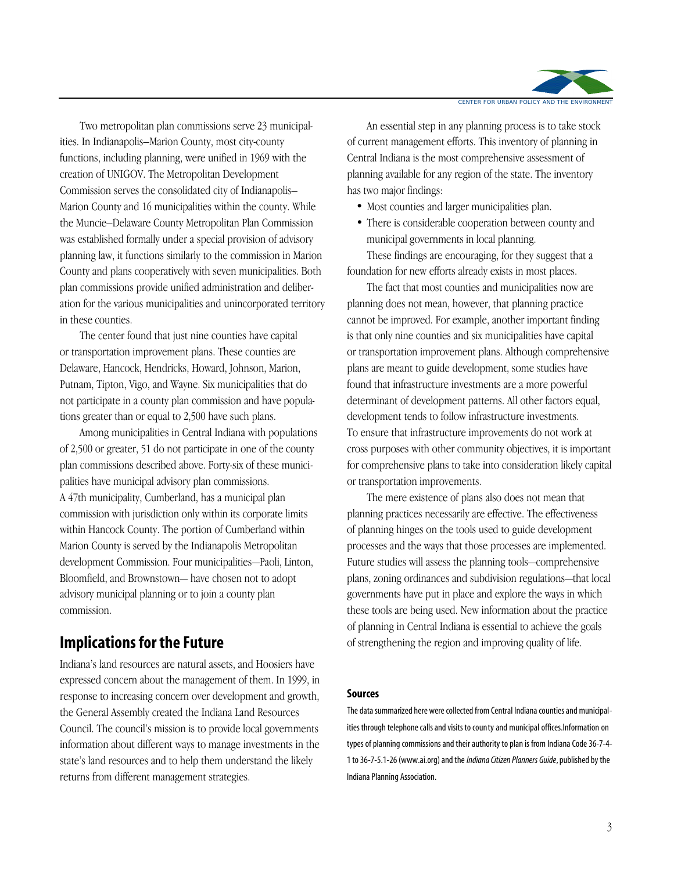

Two metropolitan plan commissions serve 23 municipalities. In Indianapolis–Marion County, most city-county functions, including planning, were unified in 1969 with the creation of UNIGOV. The Metropolitan Development Commission serves the consolidated city of Indianapolis– Marion County and 16 municipalities within the county. While the Muncie–Delaware County Metropolitan Plan Commission was established formally under a special provision of advisory planning law, it functions similarly to the commission in Marion County and plans cooperatively with seven municipalities. Both plan commissions provide unified administration and deliberation for the various municipalities and unincorporated territory in these counties.

The center found that just nine counties have capital or transportation improvement plans. These counties are Delaware, Hancock, Hendricks, Howard, Johnson, Marion, Putnam, Tipton, Vigo, and Wayne. Six municipalities that do not participate in a county plan commission and have populations greater than or equal to 2,500 have such plans.

Among municipalities in Central Indiana with populations of 2,500 or greater, 51 do not participate in one of the county plan commissions described above. Forty-six of these municipalities have municipal advisory plan commissions. A 47th municipality, Cumberland, has a municipal plan commission with jurisdiction only within its corporate limits within Hancock County. The portion of Cumberland within Marion County is served by the Indianapolis Metropolitan development Commission. Four municipalities—Paoli, Linton, Bloomfield, and Brownstown— have chosen not to adopt advisory municipal planning or to join a county plan commission.

### **Implications for the Future**

Indiana's land resources are natural assets, and Hoosiers have expressed concern about the management of them. In 1999, in response to increasing concern over development and growth, the General Assembly created the Indiana Land Resources Council. The council's mission is to provide local governments information about different ways to manage investments in the state's land resources and to help them understand the likely returns from different management strategies.

An essential step in any planning process is to take stock of current management efforts. This inventory of planning in Central Indiana is the most comprehensive assessment of planning available for any region of the state. The inventory has two major findings:

- Most counties and larger municipalities plan.
- There is considerable cooperation between county and municipal governments in local planning.

These findings are encouraging, for they suggest that a foundation for new efforts already exists in most places.

The fact that most counties and municipalities now are planning does not mean, however, that planning practice cannot be improved. For example, another important finding is that only nine counties and six municipalities have capital or transportation improvement plans. Although comprehensive plans are meant to guide development, some studies have found that infrastructure investments are a more powerful determinant of development patterns. All other factors equal, development tends to follow infrastructure investments. To ensure that infrastructure improvements do not work at cross purposes with other community objectives, it is important for comprehensive plans to take into consideration likely capital or transportation improvements.

The mere existence of plans also does not mean that planning practices necessarily are effective. The effectiveness of planning hinges on the tools used to guide development processes and the ways that those processes are implemented. Future studies will assess the planning tools—comprehensive plans, zoning ordinances and subdivision regulations—that local governments have put in place and explore the ways in which these tools are being used. New information about the practice of planning in Central Indiana is essential to achieve the goals of strengthening the region and improving quality of life.

#### **Sources**

The data summarized here were collected from Central Indiana counties and municipalities through telephone calls and visits to county and municipal offices.Information on types of planning commissions and their authority to plan is from Indiana Code 36-7-4- 1 to 36-7-5.1-26 (www.ai.org) and the *Indiana Citizen Planners Guide*,published by the Indiana Planning Association.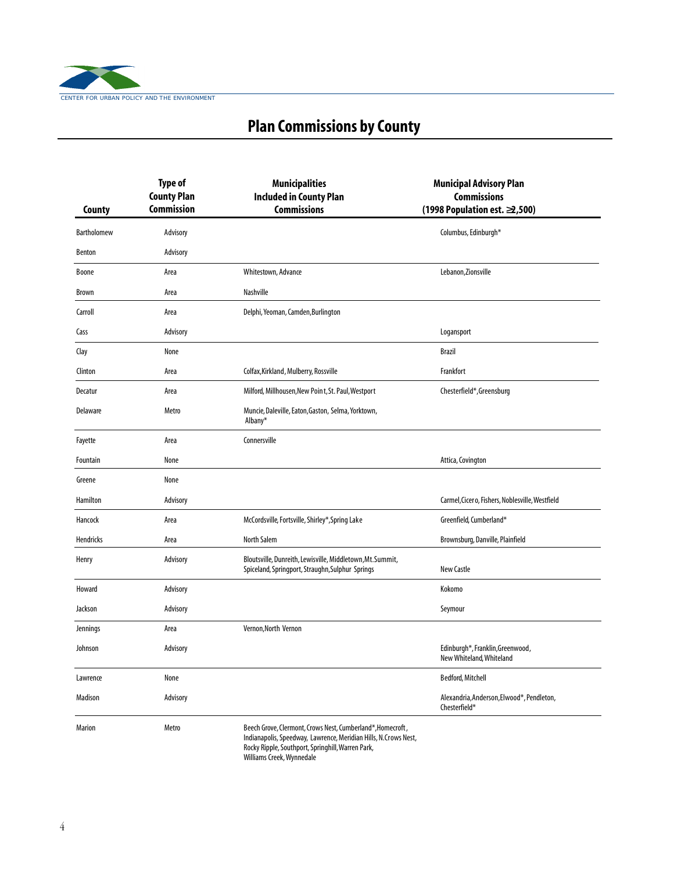

# **Plan Commissions by County**

| County        | <b>Type of</b><br><b>County Plan</b><br><b>Commission</b> | <b>Municipalities</b><br><b>Included in County Plan</b><br><b>Commissions</b>                                                                                                      | <b>Municipal Advisory Plan</b><br><b>Commissions</b><br>(1998 Population est. 2,500) |
|---------------|-----------------------------------------------------------|------------------------------------------------------------------------------------------------------------------------------------------------------------------------------------|--------------------------------------------------------------------------------------|
| Bartholomew   | Advisory                                                  |                                                                                                                                                                                    | Columbus, Edinburgh*                                                                 |
| <b>Benton</b> | Advisory                                                  |                                                                                                                                                                                    |                                                                                      |
| <b>Boone</b>  | Area                                                      | Whitestown, Advance                                                                                                                                                                | Lebanon, Zionsville                                                                  |
| <b>Brown</b>  | Area                                                      | Nashville                                                                                                                                                                          |                                                                                      |
| Carroll       | Area                                                      | Delphi, Yeoman, Camden, Burlington                                                                                                                                                 |                                                                                      |
| Cass          | Advisory                                                  |                                                                                                                                                                                    | Logansport                                                                           |
| Clay          | None                                                      |                                                                                                                                                                                    | <b>Brazil</b>                                                                        |
| Clinton       | Area                                                      | Colfax, Kirkland, Mulberry, Rossville                                                                                                                                              | Frankfort                                                                            |
| Decatur       | Area                                                      | Milford, Millhousen, New Point, St. Paul, Westport                                                                                                                                 | Chesterfield*, Greensburg                                                            |
| Delaware      | Metro                                                     | Muncie, Daleville, Eaton, Gaston, Selma, Yorktown,<br>Albany*                                                                                                                      |                                                                                      |
| Fayette       | Area                                                      | Connersville                                                                                                                                                                       |                                                                                      |
| Fountain      | None                                                      |                                                                                                                                                                                    | Attica, Covington                                                                    |
| Greene        | None                                                      |                                                                                                                                                                                    |                                                                                      |
| Hamilton      | Advisory                                                  |                                                                                                                                                                                    | Carmel, Cicero, Fishers, Noblesville, Westfield                                      |
| Hancock       | Area                                                      | McCordsville, Fortsville, Shirley*, Spring Lake                                                                                                                                    | Greenfield, Cumberland*                                                              |
| Hendricks     | Area                                                      | <b>North Salem</b>                                                                                                                                                                 | Brownsburg, Danville, Plainfield                                                     |
| Henry         | Advisory                                                  | Bloutsville, Dunreith, Lewisville, Middletown, Mt. Summit,<br>Spiceland, Springport, Straughn, Sulphur Springs                                                                     | New Castle                                                                           |
| Howard        | Advisory                                                  |                                                                                                                                                                                    | Kokomo                                                                               |
| Jackson       | Advisory                                                  |                                                                                                                                                                                    | Seymour                                                                              |
| Jennings      | Area                                                      | Vernon, North Vernon                                                                                                                                                               |                                                                                      |
| Johnson       | Advisory                                                  |                                                                                                                                                                                    | Edinburgh*, Franklin, Greenwood,<br>New Whiteland, Whiteland                         |
| Lawrence      | None                                                      |                                                                                                                                                                                    | Bedford, Mitchell                                                                    |
| Madison       | Advisory                                                  |                                                                                                                                                                                    | Alexandria, Anderson, Elwood*, Pendleton,<br>Chesterfield*                           |
| <b>Marion</b> | Metro                                                     | Beech Grove, Clermont, Crows Nest, Cumberland*, Homecroft,<br>Indianapolis, Speedway, Lawrence, Meridian Hills, N.Crows Nest,<br>Rocky Ripple, Southport, Springhill, Warren Park, |                                                                                      |

Williams Creek,Wynnedale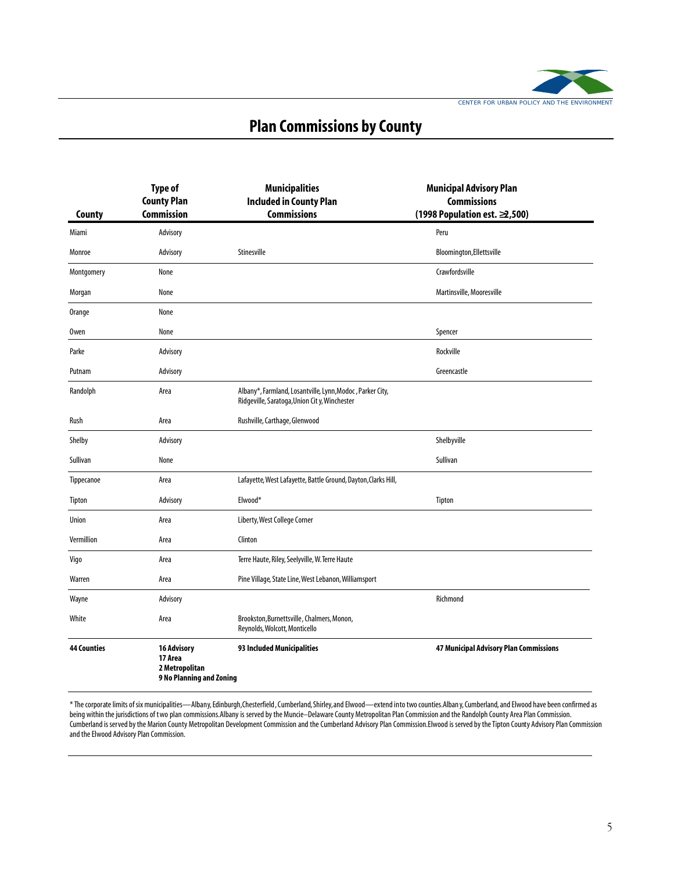

# **Plan Commissions by County**

|                    | <b>Type of</b><br><b>County Plan</b>                                        | <b>Municipalities</b><br><b>Included in County Plan</b>                                                   | <b>Municipal Advisory Plan</b><br><b>Commissions</b> |
|--------------------|-----------------------------------------------------------------------------|-----------------------------------------------------------------------------------------------------------|------------------------------------------------------|
| County             | <b>Commission</b>                                                           | <b>Commissions</b>                                                                                        | (1998 Population est. 2,500)                         |
| Miami              | Advisory                                                                    |                                                                                                           | Peru                                                 |
| Monroe             | Advisory                                                                    | Stinesville                                                                                               | Bloomington, Ellettsville                            |
| Montgomery         | None                                                                        |                                                                                                           | Crawfordsville                                       |
| Morgan             | None                                                                        |                                                                                                           | Martinsville, Mooresville                            |
| Orange             | None                                                                        |                                                                                                           |                                                      |
| 0wen               | None                                                                        |                                                                                                           | Spencer                                              |
| Parke              | Advisory                                                                    |                                                                                                           | Rockville                                            |
| Putnam             | Advisory                                                                    |                                                                                                           | Greencastle                                          |
| Randolph           | Area                                                                        | Albany*, Farmland, Losantville, Lynn, Modoc, Parker City,<br>Ridgeville, Saratoga, Union City, Winchester |                                                      |
| Rush               | Area                                                                        | Rushville, Carthage, Glenwood                                                                             |                                                      |
| Shelby             | Advisory                                                                    |                                                                                                           | Shelbyville                                          |
| Sullivan           | None                                                                        |                                                                                                           | Sullivan                                             |
| Tippecanoe         | Area                                                                        | Lafayette, West Lafayette, Battle Ground, Dayton, Clarks Hill,                                            |                                                      |
| Tipton             | Advisory                                                                    | Elwood*                                                                                                   | Tipton                                               |
| Union              | Area                                                                        | Liberty, West College Corner                                                                              |                                                      |
| Vermillion         | Area                                                                        | Clinton                                                                                                   |                                                      |
| Vigo               | Area                                                                        | Terre Haute, Riley, Seelyville, W. Terre Haute                                                            |                                                      |
| Warren             | Area                                                                        | Pine Village, State Line, West Lebanon, Williamsport                                                      |                                                      |
| Wayne              | Advisory                                                                    |                                                                                                           | Richmond                                             |
| White              | Area                                                                        | Brookston, Burnettsville, Chalmers, Monon,<br>Reynolds, Wolcott, Monticello                               |                                                      |
| <b>44 Counties</b> | <b>16 Advisory</b><br>17 Area<br>2 Metropolitan<br>9 No Planning and Zoning | 93 Included Municipalities                                                                                | <b>47 Municipal Advisory Plan Commissions</b>        |

\* The corporate limits of six municipalities—Albany, Edinburgh,Chesterfield, Cumberland,Shirley,and Elwood—extend into two counties.Alban y, Cumberland,and Elwood have been confirmed as being within the jurisdictions of two plan commissions.Albany is served by the Muncie–Delaware County Metropolitan Plan Commission and the Randolph County Area Plan Commission. Cumberland is served by the Marion County Metropolitan Development Commission and the Cumberland Advisory Plan Commission.Elwood is served by the Tipton County Advisory Plan Commission and the Elwood Advisory Plan Commission.